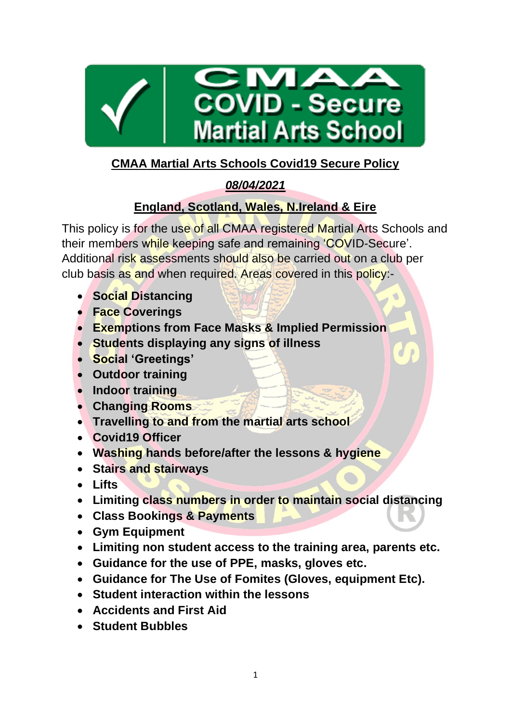

# **CMAA Martial Arts Schools Covid19 Secure Policy**

# *08/04/2021*

# **England, Scotland, Wales, N.Ireland & Eire**

This policy is for the use of all CMAA registered Martial Arts Schools and their members while keeping safe and remaining 'COVID-Secure'. Additional risk assessments should also be carried out on a club per club basis as and when required. Areas covered in this policy:-

- **Social Distancing**
- **Face Coverings**
- **Exemptions from Face Masks & Implied Permission**
- **Students displaying any signs of illness**
- **Social 'Greetings'**
- **Outdoor training**
- **Indoor training**
- **Changing Rooms**
- **Travelling to and from the martial arts school**
- **Covid19 Officer**
- **Washing hands before/after the lessons & hygiene**
- **Stairs and stairways**
- **Lifts**
- **Limiting class numbers in order to maintain social distancing**
- **Class Bookings & Payments**
- **Gym Equipment**
- **Limiting non student access to the training area, parents etc.**
- **Guidance for the use of PPE, masks, gloves etc.**
- **Guidance for The Use of Fomites (Gloves, equipment Etc).**
- **Student interaction within the lessons**
- **Accidents and First Aid**
- **Student Bubbles**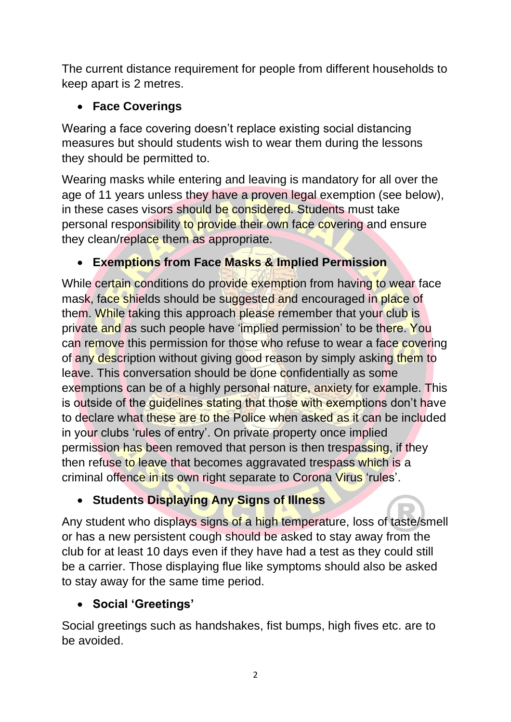The current distance requirement for people from different households to keep apart is 2 metres.

### • **Face Coverings**

Wearing a face covering doesn't replace existing social distancing measures but should students wish to wear them during the lessons they should be permitted to.

Wearing masks while entering and leaving is mandatory for all over the age of 11 years unless they have a proven legal exemption (see below), in these cases visors should be considered. Students must take personal responsibility to provide their own face covering and ensure they clean/replace them as appropriate.

# • **Exemptions from Face Masks & Implied Permission**

While certain conditions do provide exemption from having to wear face mask, face shields should be suggested and encouraged in place of them. While taking this approach please remember that your club is private and as such people have 'implied permission' to be there. You can remove this permission for those who refuse to wear a face covering of any description without giving good reason by simply asking them to leave. This conversation should be done confidentially as some exemptions can be of a highly personal nature, anxiety for example. This is outside of the guidelines stating that those with exemptions don't have to declare what these are to the Police when asked as it can be included in your clubs 'rules of entry'. On private property once implied permission has been removed that person is then trespassing, if they then refuse to leave that becomes aggravated trespass which is a criminal offence in its own right separate to Corona Virus 'rules'.

# • **Students Displaying Any Signs of Illness**

Any student who displays signs of a high temperature, loss of taste/smell or has a new persistent cough should be asked to stay away from the club for at least 10 days even if they have had a test as they could still be a carrier. Those displaying flue like symptoms should also be asked to stay away for the same time period.

# • **Social 'Greetings'**

Social greetings such as handshakes, fist bumps, high fives etc. are to be avoided.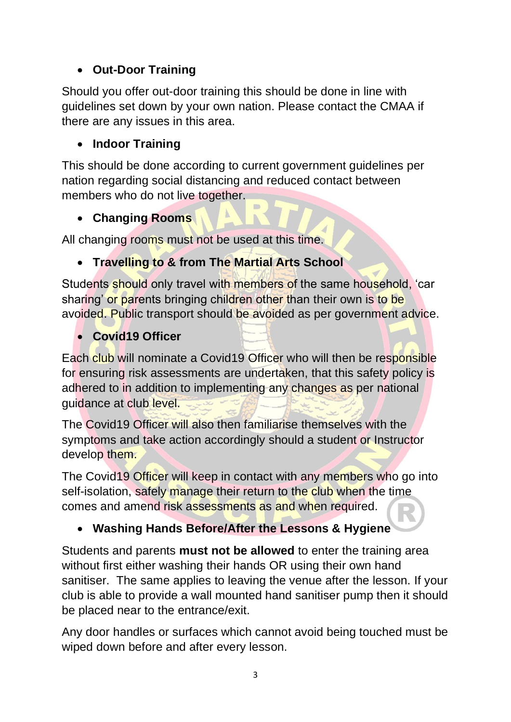# • **Out-Door Training**

Should you offer out-door training this should be done in line with guidelines set down by your own nation. Please contact the CMAA if there are any issues in this area.

#### • **Indoor Training**

This should be done according to current government guidelines per nation regarding social distancing and reduced contact between members who do not live together.

# • **Changing Rooms**

All changing rooms must not be used at this time.

### • **Travelling to & from The Martial Arts School**

Students should only travel with members of the same household, 'car sharing' or parents bringing children other than their own is to be avoided. Public transport should be avoided as per government advice.

# • **Covid19 Officer**

Each club will nominate a Covid19 Officer who will then be responsible for ensuring risk assessments are undertaken, that this safety policy is adhered to in addition to implementing any changes as per national guidance at club level.

The Covid19 Officer will also then familiarise themselves with the symptoms and take action accordingly should a student or Instructor develop them.

The Covid19 Officer will keep in contact with any members who go into self-isolation, safely manage their return to the club when the time comes and amend risk assessments as and when required.

### • **Washing Hands Before/After the Lessons & Hygiene**

Students and parents **must not be allowed** to enter the training area without first either washing their hands OR using their own hand sanitiser. The same applies to leaving the venue after the lesson. If your club is able to provide a wall mounted hand sanitiser pump then it should be placed near to the entrance/exit.

Any door handles or surfaces which cannot avoid being touched must be wiped down before and after every lesson.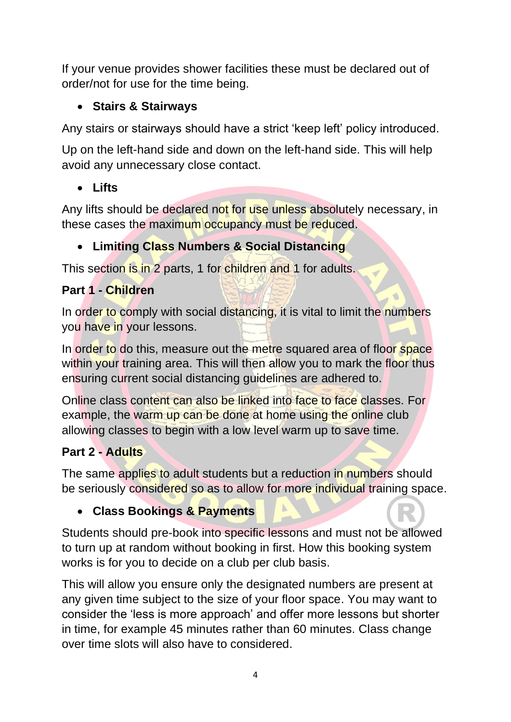If your venue provides shower facilities these must be declared out of order/not for use for the time being.

### • **Stairs & Stairways**

Any stairs or stairways should have a strict 'keep left' policy introduced.

Up on the left-hand side and down on the left-hand side. This will help avoid any unnecessary close contact.

# • **Lifts**

Any lifts should be declared not for use unless absolutely necessary, in these cases the maximum occupancy must be reduced.

# • **Limiting Class Numbers & Social Distancing**

This section is in 2 parts, 1 for children and 1 for adults.

# **Part 1 - Children**

In order to comply with social distancing, it is vital to limit the numbers you have in your lessons.

In order to do this, measure out the metre squared area of floor space within your training area. This will then allow you to mark the floor thus ensuring current social distancing guidelines are adhered to.

Online class content can also be linked into face to face classes. For example, the warm up can be done at home using the online club allowing classes to begin with a low level warm up to save time.

# **Part 2 - Adults**

The same applies to adult students but a reduction in numbers should be seriously considered so as to allow for more individual training space.

# • **Class Bookings & Payments**

Students should pre-book into specific lessons and must not be allowed to turn up at random without booking in first. How this booking system works is for you to decide on a club per club basis.

This will allow you ensure only the designated numbers are present at any given time subject to the size of your floor space. You may want to consider the 'less is more approach' and offer more lessons but shorter in time, for example 45 minutes rather than 60 minutes. Class change over time slots will also have to considered.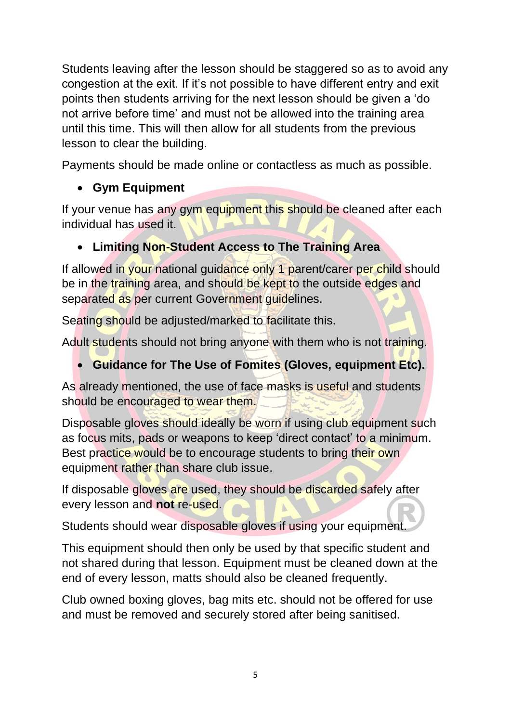Students leaving after the lesson should be staggered so as to avoid any congestion at the exit. If it's not possible to have different entry and exit points then students arriving for the next lesson should be given a 'do not arrive before time' and must not be allowed into the training area until this time. This will then allow for all students from the previous lesson to clear the building.

Payments should be made online or contactless as much as possible.

# • **Gym Equipment**

If your venue has any gym equipment this should be cleaned after each individual has used it.

# • **Limiting Non-Student Access to The Training Area**

If allowed in your national guidance only 1 parent/carer per child should be in the training area, and should be kept to the outside edges and separated as per current Government guidelines.

Seating should be adjusted/marked to facilitate this.

Adult students should not bring anyone with them who is not training.

# • **Guidance for The Use of Fomites (Gloves, equipment Etc).**

As already mentioned, the use of face masks is useful and students should be encouraged to wear them.

Disposable gloves should ideally be worn if using club equipment such as focus mits, pads or weapons to keep 'direct contact' to a minimum. Best practice would be to encourage students to bring their own equipment rather than share club issue.

If disposable gloves are used, they should be discarded safely after every lesson and **not** re-used.

Students should wear disposable gloves if using your equipment.

This equipment should then only be used by that specific student and not shared during that lesson. Equipment must be cleaned down at the end of every lesson, matts should also be cleaned frequently.

Club owned boxing gloves, bag mits etc. should not be offered for use and must be removed and securely stored after being sanitised.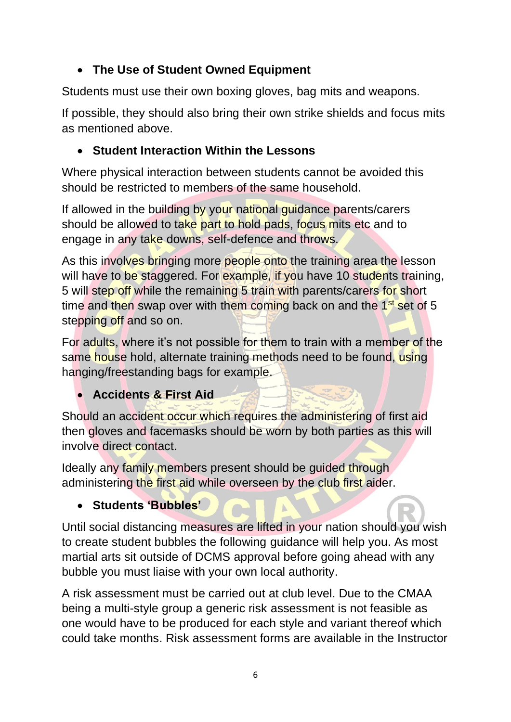## • **The Use of Student Owned Equipment**

Students must use their own boxing gloves, bag mits and weapons.

If possible, they should also bring their own strike shields and focus mits as mentioned above.

### • **Student Interaction Within the Lessons**

Where physical interaction between students cannot be avoided this should be restricted to members of the same household.

If allowed in the building by your national guidance parents/carers should be allowed to take part to hold pads, focus mits etc and to engage in any take downs, self-defence and throws.

As this involves bringing more people onto the training area the lesson will have to be staggered. For example, if you have 10 students training, 5 will step off while the remaining 5 train with parents/carers for short time and then swap over with them coming back on and the  $1<sup>st</sup>$  set of 5 stepping off and so on.

For adults, where it's not possible for them to train with a member of the same house hold, alternate training methods need to be found, using hanging/freestanding bags for example.

### • **Accidents & First Aid**

Should an accident occur which requires the administering of first aid then gloves and facemasks should be worn by both parties as this will involve direct contact.

Ideally any family members present should be guided through administering the first aid while overseen by the club first aider.

### • **Students 'Bubbles'**

Until social distancing measures are lifted in your nation should you wish to create student bubbles the following guidance will help you. As most martial arts sit outside of DCMS approval before going ahead with any bubble you must liaise with your own local authority.

A risk assessment must be carried out at club level. Due to the CMAA being a multi-style group a generic risk assessment is not feasible as one would have to be produced for each style and variant thereof which could take months. Risk assessment forms are available in the Instructor